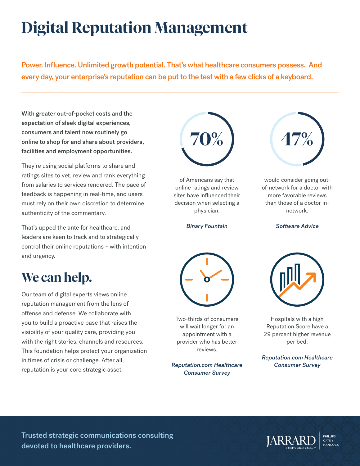## **Digital Reputation Management**

Power. Influence. Unlimited growth potential. That's what healthcare consumers possess. And every day, your enterprise's reputation can be put to the test with a few clicks of a keyboard.

With greater out-of-pocket costs and the expectation of sleek digital experiences, consumers and talent now routinely go online to shop for and share about providers, facilities and employment opportunities.

They're using social platforms to share and ratings sites to vet, review and rank everything from salaries to services rendered. The pace of feedback is happening in real-time, and users must rely on their own discretion to determine authenticity of the commentary.

That's upped the ante for healthcare, and leaders are keen to track and to strategically control their online reputations – with intention and urgency.

## **We can help.**

Our team of digital experts views online reputation management from the lens of offense and defense. We collaborate with you to build a proactive base that raises the visibility of your quality care, providing you with the right stories, channels and resources. This foundation helps protect your organization in times of crisis or challenge. After all, reputation is your core strategic asset.



of Americans say that online ratings and review sites have influenced their decision when selecting a physician.

*Binary Fountain*



Two-thirds of consumers will wait longer for an appointment with a provider who has better reviews.

*Reputation.com Healthcare Consumer Survey* 



would consider going outof-network for a doctor with more favorable reviews than those of a doctor innetwork.

*Software Advice*



Hospitals with a high Reputation Score have a 29 percent higher revenue per bed.

*Reputation.com Healthcare Consumer Survey*

Trusted strategic communications consulting devoted to healthcare providers.